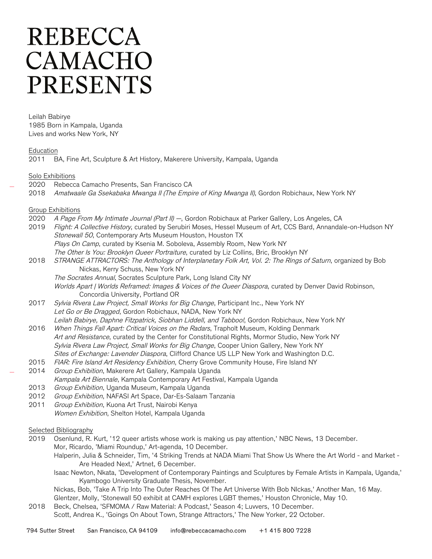## **REBECCA** CAMACHO **PRESENTS**

Leilah Babirye 1985 Born in Kampala, Uganda Lives and works New York, NY

Education

2011 BA, Fine Art, Sculpture & Art History, Makerere University, Kampala, Uganda

Solo Exhibitions

- 2020 Rebecca Camacho Presents, San Francisco CA
- 2018 Amatwaale Ga Ssekabaka Mwanga II (The Empire of King Mwanga II), Gordon Robichaux, New York NY

## Group Exhibitions

- 2020 A Page From My Intimate Journal (Part II) -, Gordon Robichaux at Parker Gallery, Los Angeles, CA 2019 Flight: A Collective History, curated by Serubiri Moses, Hessel Museum of Art, CCS Bard, Annandale-on-Hudson NY Stonewall 50, Contemporary Arts Museum Houston, Houston TX Plays On Camp, curated by Ksenia M. Soboleva, Assembly Room, New York NY The Other Is You: Brooklyn Queer Portraiture, curated by Liz Collins, Bric, Brooklyn NY
- 2018 STRANGE ATTRACTORS: The Anthology of Interplanetary Folk Art, Vol. 2: The Rings of Saturn, organized by Bob Nickas, Kerry Schuss, New York NY
	- The Socrates Annual, Socrates Sculpture Park, Long Island City NY

Worlds Apart | Worlds Reframed: Images & Voices of the Queer Diaspora, curated by Denver David Robinson, Concordia University, Portland OR

- 2017 Sylvia Rivera Law Project, Small Works for Big Change, Participant Inc., New York NY Let Go or Be Dragged, Gordon Robichaux, NADA, New York NY Leilah Babirye, Daphne Fitzpatrick, Siobhan Liddell, and Tabboo!, Gordon Robichaux, New York NY
- 2016 When Things Fall Apart: Critical Voices on the Radars, Trapholt Museum, Kolding Denmark Art and Resistance, curated by the Center for Constitutional Rights, Mormor Studio, New York NY Sylvia Rivera Law Project, Small Works for Big Change, Cooper Union Gallery, New York NY Sites of Exchange: Lavender Diaspora, Clifford Chance US LLP New York and Washington D.C.
- 2015 FIAR: Fire Island Art Residency Exhibition, Cherry Grove Community House, Fire Island NY
- 2014 Group Exhibition, Makerere Art Gallery, Kampala Uganda Kampala Art Biennale, Kampala Contemporary Art Festival, Kampala Uganda
- 2013 Group Exhibition, Uganda Museum, Kampala Uganda
- 2012 Group Exhibition, NAFASI Art Space, Dar-Es-Salaam Tanzania
- 2011 Group Exhibition, Kuona Art Trust, Nairobi Kenya Women Exhibition, Shelton Hotel, Kampala Uganda
- Selected Bibliography
- 2019 Osenlund, R. Kurt, '12 queer artists whose work is making us pay attention,' NBC News, 13 December. Mor, Ricardo, 'Miami Roundup,' Art-agenda, 10 December.
	- Halperin, Julia & Schneider, Tim, '4 Striking Trends at NADA Miami That Show Us Where the Art World and Market Are Headed Next,' Artnet, 6 December.
	- Isaac Newton, Nkata, 'Development of Contemporary Paintings and Sculptures by Female Artists in Kampala, Uganda,' Kyambogo University Graduate Thesis, November.
	- Nickas, Bob, 'Take A Trip Into The Outer Reaches Of The Art Universe With Bob NIckas,' Another Man, 16 May. Glentzer, Molly, 'Stonewall 50 exhibit at CAMH explores LGBT themes,' Houston Chronicle, May 10.
- 2018 Beck, Chelsea, 'SFMOMA / Raw Material: A Podcast,' Season 4; Luvvers, 10 December. Scott, Andrea K., 'Goings On About Town, Strange Attractors,' The New Yorker, 22 October.